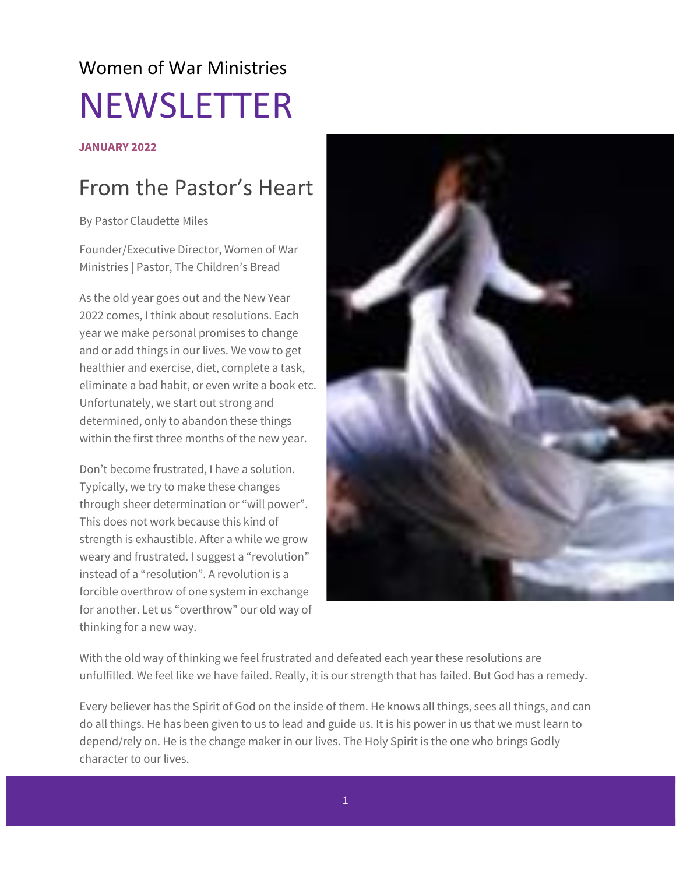## Women of War Ministries NEWSLETTER

#### **JANUARY 2022**

### From the Pastor's Heart

By Pastor Claudette Miles

Founder/Executive Director, Women of War Ministries | Pastor, The Children's Bread

As the old year goes out and the New Year 2022 comes, I think about resolutions. Each year we make personal promises to change and or add things in our lives. We vow to get healthier and exercise, diet, complete a task, eliminate a bad habit, or even write a book etc. Unfortunately, we start out strong and determined, only to abandon these things within the first three months of the new year.

Don't become frustrated, I have a solution. Typically, we try to make these changes through sheer determination or "will power". This does not work because this kind of strength is exhaustible. After a while we grow weary and frustrated. I suggest a "revolution" instead of a "resolution". A revolution is a forcible overthrow of one system in exchange for another. Let us "overthrow" our old way of thinking for a new way.



With the old way of thinking we feel frustrated and defeated each year these resolutions are unfulfilled. We feel like we have failed. Really, it is our strength that has failed. But God has a remedy.

Every believer has the Spirit of God on the inside of them. He knows all things, sees all things, and can do all things. He has been given to us to lead and guide us. It is his power in us that we must learn to depend/rely on. He is the change maker in our lives. The Holy Spirit is the one who brings Godly character to our lives.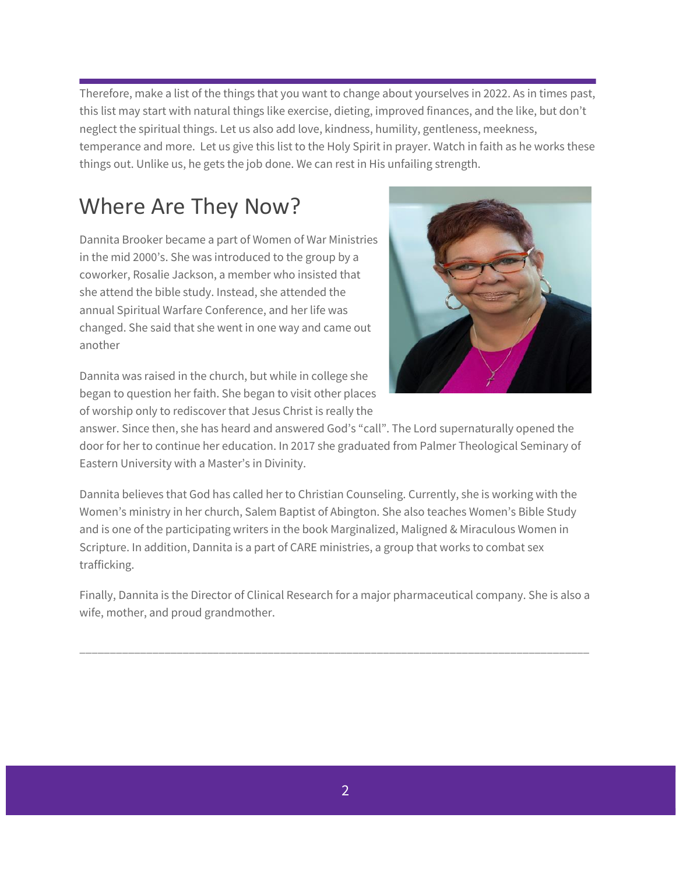Therefore, make a list of the things that you want to change about yourselves in 2022. As in times past, this list may start with natural things like exercise, dieting, improved finances, and the like, but don't neglect the spiritual things. Let us also add love, kindness, humility, gentleness, meekness, temperance and more. Let us give this list to the Holy Spirit in prayer. Watch in faith as he works these things out. Unlike us, he gets the job done. We can rest in His unfailing strength.

### Where Are They Now?

Dannita Brooker became a part of Women of War Ministries in the mid 2000's. She was introduced to the group by a coworker, Rosalie Jackson, a member who insisted that she attend the bible study. Instead, she attended the annual Spiritual Warfare Conference, and her life was changed. She said that she went in one way and came out another

Dannita was raised in the church, but while in college she began to question her faith. She began to visit other places of worship only to rediscover that Jesus Christ is really the



answer. Since then, she has heard and answered God's "call". The Lord supernaturally opened the door for her to continue her education. In 2017 she graduated from Palmer Theological Seminary of Eastern University with a Master's in Divinity.

Dannita believes that God has called her to Christian Counseling. Currently, she is working with the Women's ministry in her church, Salem Baptist of Abington. She also teaches Women's Bible Study and is one of the participating writers in the book Marginalized, Maligned & Miraculous Women in Scripture. In addition, Dannita is a part of CARE ministries, a group that works to combat sex trafficking.

Finally, Dannita is the Director of Clinical Research for a major pharmaceutical company. She is also a wife, mother, and proud grandmother.

\_\_\_\_\_\_\_\_\_\_\_\_\_\_\_\_\_\_\_\_\_\_\_\_\_\_\_\_\_\_\_\_\_\_\_\_\_\_\_\_\_\_\_\_\_\_\_\_\_\_\_\_\_\_\_\_\_\_\_\_\_\_\_\_\_\_\_\_\_\_\_\_\_\_\_\_\_\_\_\_\_\_\_\_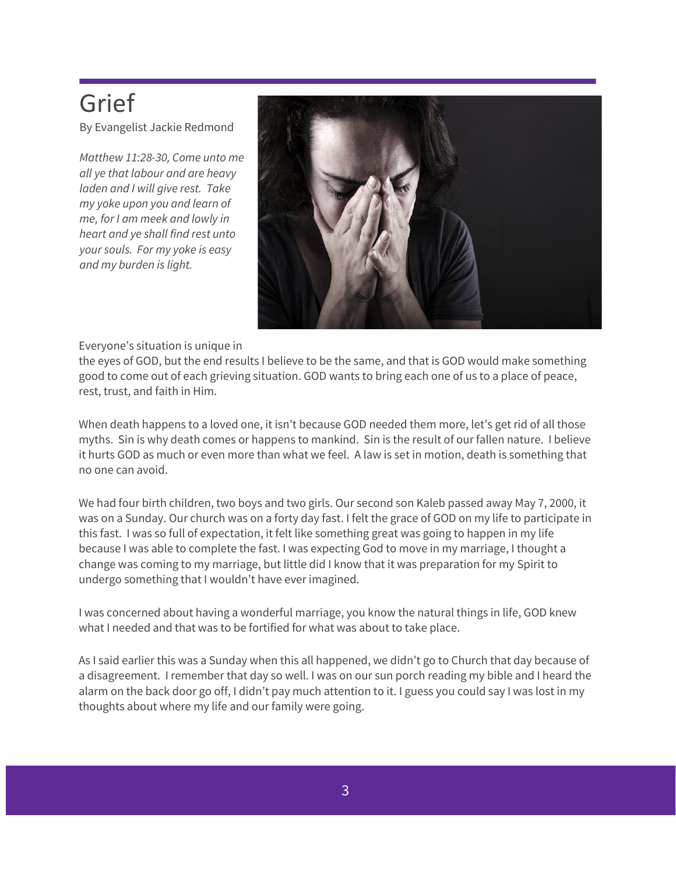## Grief

By Evangelist Jackie Redmond

*Matthew 11:28-30, Come unto me all ye that labour and are heavy laden and I will give rest. Take my yoke upon you and learn of me, for I am meek and lowly in heart and ye shall find rest unto your souls. For my yoke is easy and my burden is light.*



Everyone's situation is unique in

the eyes of GOD, but the end results I believe to be the same, and that is GOD would make something good to come out of each grieving situation. GOD wants to bring each one of us to a place of peace, rest, trust, and faith in Him.

When death happens to a loved one, it isn't because GOD needed them more, let's get rid of all those myths. Sin is why death comes or happens to mankind. Sin is the result of our fallen nature. I believe it hurts GOD as much or even more than what we feel. A law is set in motion, death is something that no one can avoid.

We had four birth children, two boys and two girls. Our second son Kaleb passed away May 7, 2000, it was on a Sunday. Our church was on a forty day fast. I felt the grace of GOD on my life to participate in this fast. I was so full of expectation, it felt like something great was going to happen in my life because I was able to complete the fast. I was expecting God to move in my marriage, I thought a change was coming to my marriage, but little did I know that it was preparation for my Spirit to undergo something that I wouldn't have ever imagined.

I was concerned about having a wonderful marriage, you know the natural things in life, GOD knew what I needed and that was to be fortified for what was about to take place.

As I said earlier this was a Sunday when this all happened, we didn't go to Church that day because of a disagreement. I remember that day so well. I was on our sun porch reading my bible and I heard the alarm on the back door go off, I didn't pay much attention to it. I guess you could say I was lost in my thoughts about where my life and our family were going.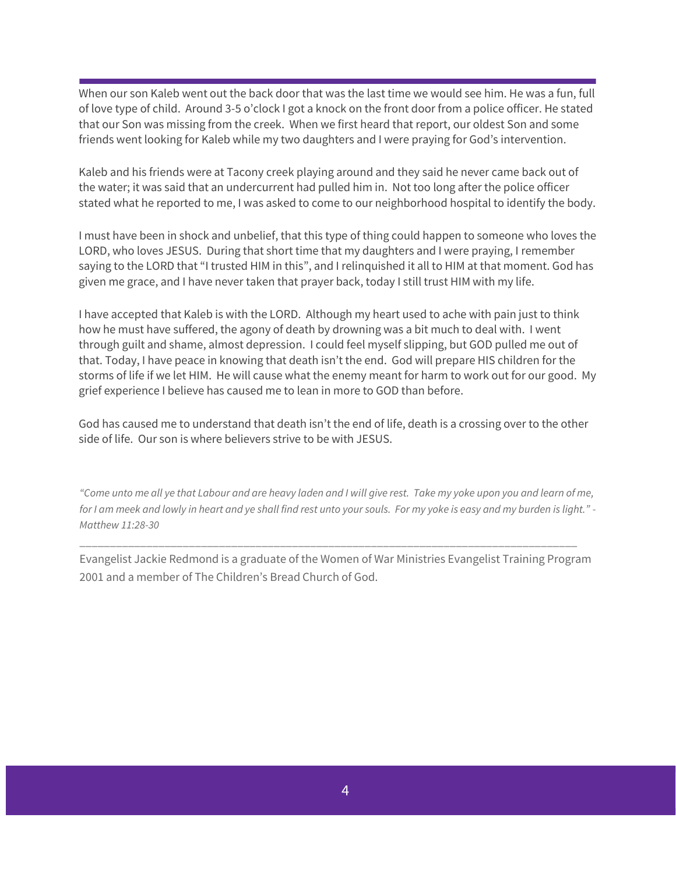When our son Kaleb went out the back door that was the last time we would see him. He was a fun, full of love type of child. Around 3-5 o'clock I got a knock on the front door from a police officer. He stated that our Son was missing from the creek. When we first heard that report, our oldest Son and some friends went looking for Kaleb while my two daughters and I were praying for God's intervention.

Kaleb and his friends were at Tacony creek playing around and they said he never came back out of the water; it was said that an undercurrent had pulled him in. Not too long after the police officer stated what he reported to me, I was asked to come to our neighborhood hospital to identify the body.

I must have been in shock and unbelief, that this type of thing could happen to someone who loves the LORD, who loves JESUS. During that short time that my daughters and I were praying, I remember saying to the LORD that "I trusted HIM in this", and I relinquished it all to HIM at that moment. God has given me grace, and I have never taken that prayer back, today I still trust HIM with my life.

I have accepted that Kaleb is with the LORD. Although my heart used to ache with pain just to think how he must have suffered, the agony of death by drowning was a bit much to deal with. I went through guilt and shame, almost depression. I could feel myself slipping, but GOD pulled me out of that. Today, I have peace in knowing that death isn't the end. God will prepare HIS children for the storms of life if we let HIM. He will cause what the enemy meant for harm to work out for our good. My grief experience I believe has caused me to lean in more to GOD than before.

God has caused me to understand that death isn't the end of life, death is a crossing over to the other side of life. Our son is where believers strive to be with JESUS.

*"Come unto me all ye that Labour and are heavy laden and I will give rest. Take my yoke upon you and learn of me, for I am meek and lowly in heart and ye shall find rest unto your souls. For my yoke is easy and my burden is light." - Matthew 11:28-30*

Evangelist Jackie Redmond is a graduate of the Women of War Ministries Evangelist Training Program 2001 and a member of The Children's Bread Church of God.

\_\_\_\_\_\_\_\_\_\_\_\_\_\_\_\_\_\_\_\_\_\_\_\_\_\_\_\_\_\_\_\_\_\_\_\_\_\_\_\_\_\_\_\_\_\_\_\_\_\_\_\_\_\_\_\_\_\_\_\_\_\_\_\_\_\_\_\_\_\_\_\_\_\_\_\_\_\_\_\_\_\_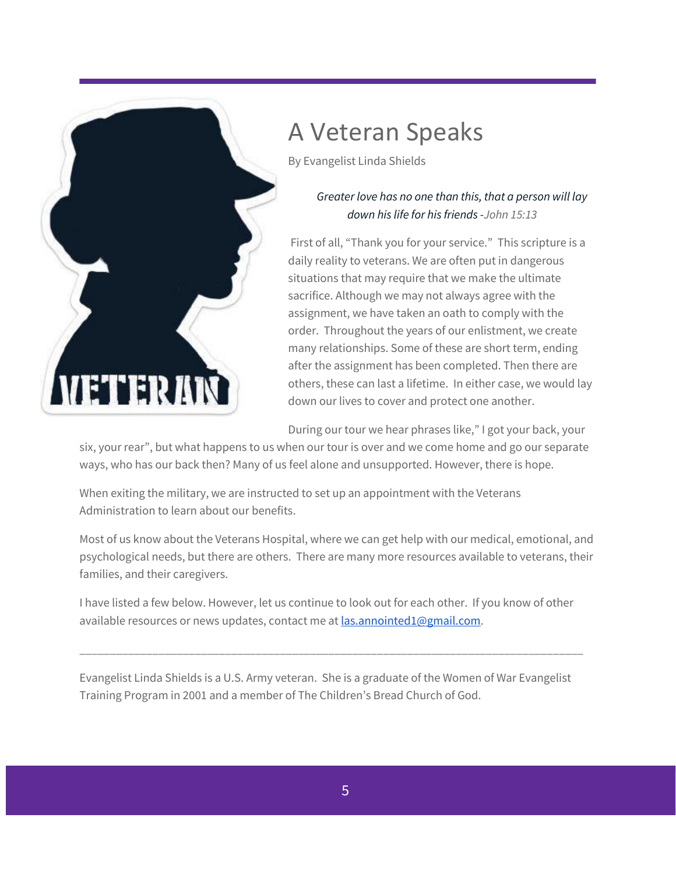

## A Veteran Speaks

By Evangelist Linda Shields

#### *Greater love has no one than this, that a person will lay down his life for his friends -John 15:13*

First of all, "Thank you for your service." This scripture is a daily reality to veterans. We are often put in dangerous situations that may require that we make the ultimate sacrifice. Although we may not always agree with the assignment, we have taken an oath to comply with the order. Throughout the years of our enlistment, we create many relationships. Some of these are short term, ending after the assignment has been completed. Then there are others, these can last a lifetime. In either case, we would lay down our lives to cover and protect one another.

During our tour we hear phrases like," I got your back, your

six, your rear", but what happens to us when our tour is over and we come home and go our separate ways, who has our back then? Many of us feel alone and unsupported. However, there is hope.

When exiting the military, we are instructed to set up an appointment with the Veterans Administration to learn about our benefits.

Most of us know about the Veterans Hospital, where we can get help with our medical, emotional, and psychological needs, but there are others. There are many more resources available to veterans, their families, and their caregivers.

I have listed a few below. However, let us continue to look out for each other. If you know of other available resources or news updates, contact me at [las.annointed1@gmail.com.](mailto:las.annointed1@gmail.com)

\_\_\_\_\_\_\_\_\_\_\_\_\_\_\_\_\_\_\_\_\_\_\_\_\_\_\_\_\_\_\_\_\_\_\_\_\_\_\_\_\_\_\_\_\_\_\_\_\_\_\_\_\_\_\_\_\_\_\_\_\_\_\_\_\_\_\_\_\_\_\_\_\_\_\_\_\_\_\_\_\_\_\_

Evangelist Linda Shields is a U.S. Army veteran. She is a graduate of the Women of War Evangelist Training Program in 2001 and a member of The Children's Bread Church of God.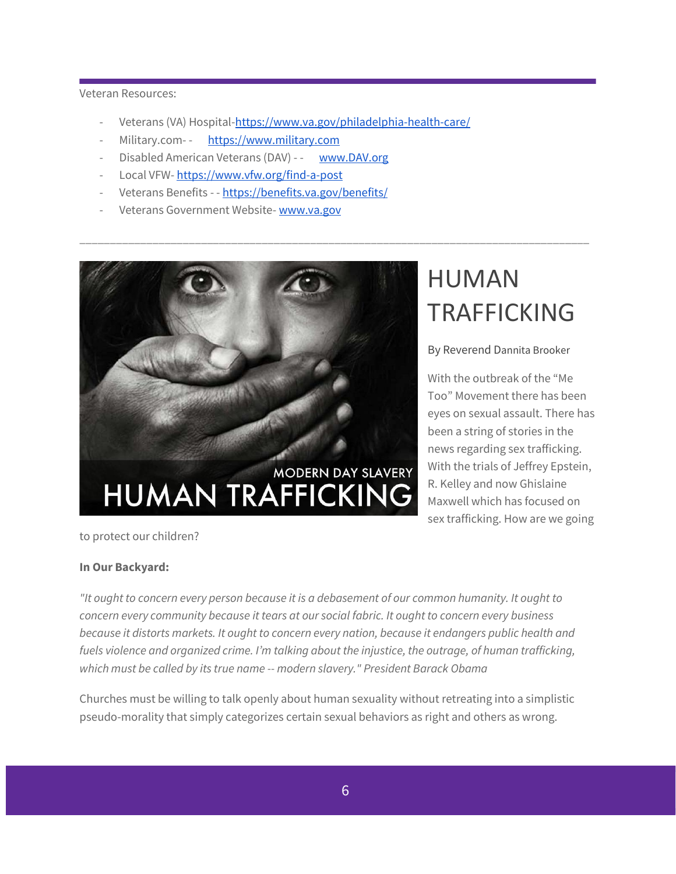Veteran Resources:

Veterans (VA) Hospital[-https://www.va.gov/philadelphia-health-care/](https://www.va.gov/philadelphia-health-care/)

\_\_\_\_\_\_\_\_\_\_\_\_\_\_\_\_\_\_\_\_\_\_\_\_\_\_\_\_\_\_\_\_\_\_\_\_\_\_\_\_\_\_\_\_\_\_\_\_\_\_\_\_\_\_\_\_\_\_\_\_\_\_\_\_\_\_\_\_\_\_\_\_\_\_\_\_\_\_\_\_\_\_\_\_

- Military.com- [https://www.military.com](https://www.military.com/)
- Disabled American Veterans (DAV) - [www.DAV.org](http://www.dav.org/)
- Local VFW- <https://www.vfw.org/find-a-post>
- Veterans Benefits [-](https://benefits.va.gov/benefits/) <https://benefits.va.gov/benefits/>
- Veterans Government Website- [www.va.gov](http://www.va.gov/)

# MODERN DAY SLAVERY **HUMAN TRAFFICKI**

## HUMAN TRAFFICKING

#### By Reverend Dannita Brooker

With the outbreak of the "Me Too" Movement there has been eyes on sexual assault. There has been a string of stories in the news regarding sex trafficking. With the trials of Jeffrey Epstein, R. Kelley and now Ghislaine Maxwell which has focused on sex trafficking. How are we going

to protect our children?

#### **In Our Backyard:**

*"It ought to concern every person because it is a debasement of our common humanity. It ought to concern every community because it tears at our social fabric. It ought to concern every business because it distorts markets. It ought to concern every nation, because it endangers public health and fuels violence and organized crime. I'm talking about the injustice, the outrage, of human trafficking, which must be called by its true name -- modern slavery." President Barack Obama*

Churches must be willing to talk openly about human sexuality without retreating into a simplistic pseudo-morality that simply categorizes certain sexual behaviors as right and others as wrong.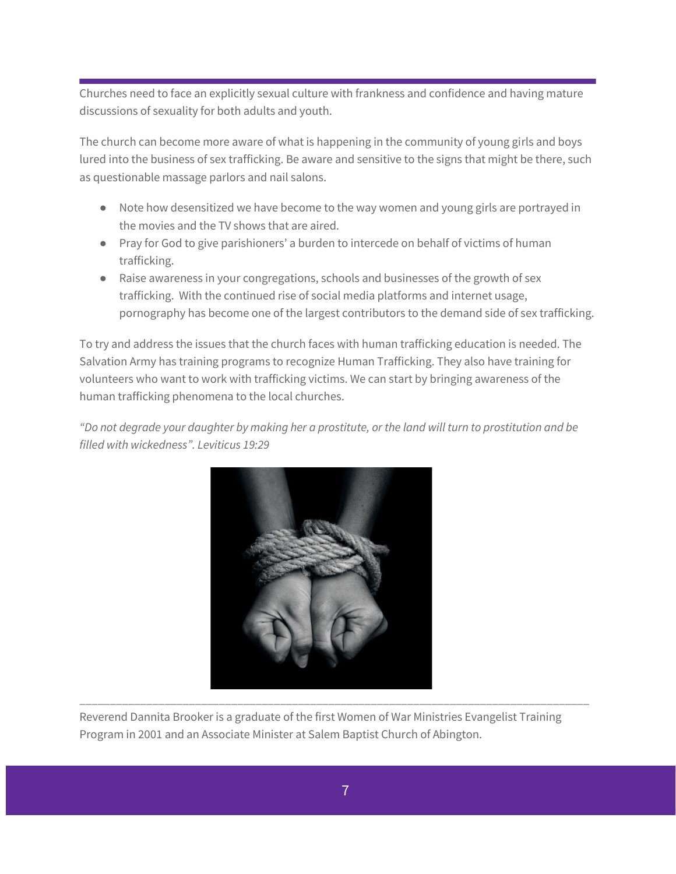Churches need to face an explicitly sexual culture with frankness and confidence and having mature discussions of sexuality for both adults and youth.

The church can become more aware of what is happening in the community of young girls and boys lured into the business of sex trafficking. Be aware and sensitive to the signs that might be there, such as questionable massage parlors and nail salons.

- Note how desensitized we have become to the way women and young girls are portrayed in the movies and the TV shows that are aired.
- Pray for God to give parishioners' a burden to intercede on behalf of victims of human trafficking.
- Raise awareness in your congregations, schools and businesses of the growth of sex trafficking. With the continued rise of social media platforms and internet usage, pornography has become one of the largest contributors to the demand side of sex trafficking.

To try and address the issues that the church faces with human trafficking education is needed. The Salvation Army has training programs to recognize Human Trafficking. They also have training for volunteers who want to work with trafficking victims. We can start by bringing awareness of the human trafficking phenomena to the local churches.

*"Do not degrade your daughter by making her a prostitute, or the land will turn to prostitution and be filled with wickedness". Leviticus 19:29*



Reverend Dannita Brooker is a graduate of the first Women of War Ministries Evangelist Training Program in 2001 and an Associate Minister at Salem Baptist Church of Abington.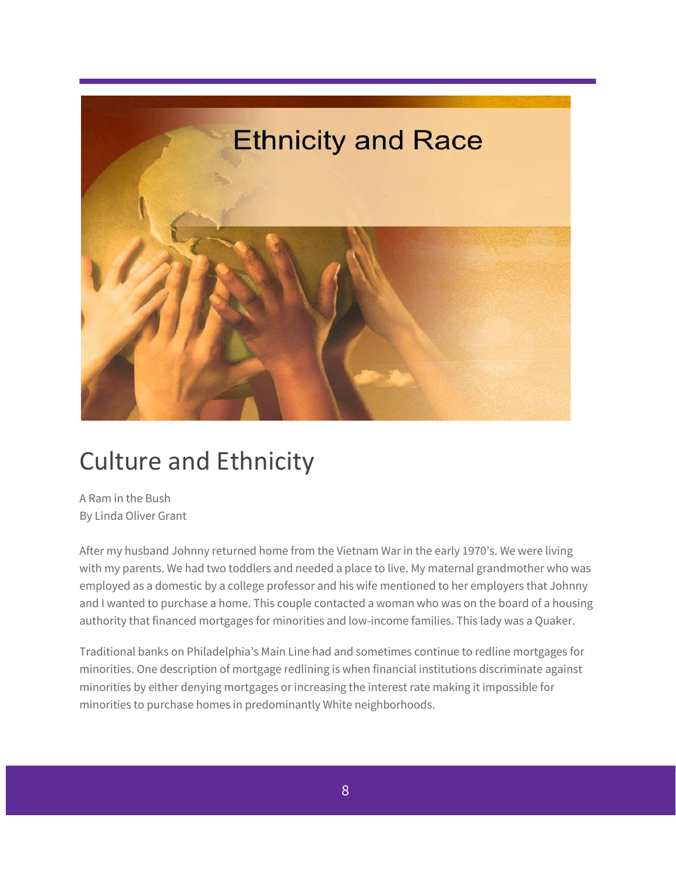

## Culture and Ethnicity

A Ram in the Bush By Linda Oliver Grant

After my husband Johnny returned home from the Vietnam War in the early 1970's. We were living with my parents. We had two toddlers and needed a place to live. My maternal grandmother who was employed as a domestic by a college professor and his wife mentioned to her employers that Johnny and I wanted to purchase a home. This couple contacted a woman who was on the board of a housing authority that financed mortgages for minorities and low-income families. This lady was a Quaker.

Traditional banks on Philadelphia's Main Line had and sometimes continue to redline mortgages for minorities. One description of mortgage redlining is when financial institutions discriminate against minorities by either denying mortgages or increasing the interest rate making it impossible for minorities to purchase homes in predominantly White neighborhoods.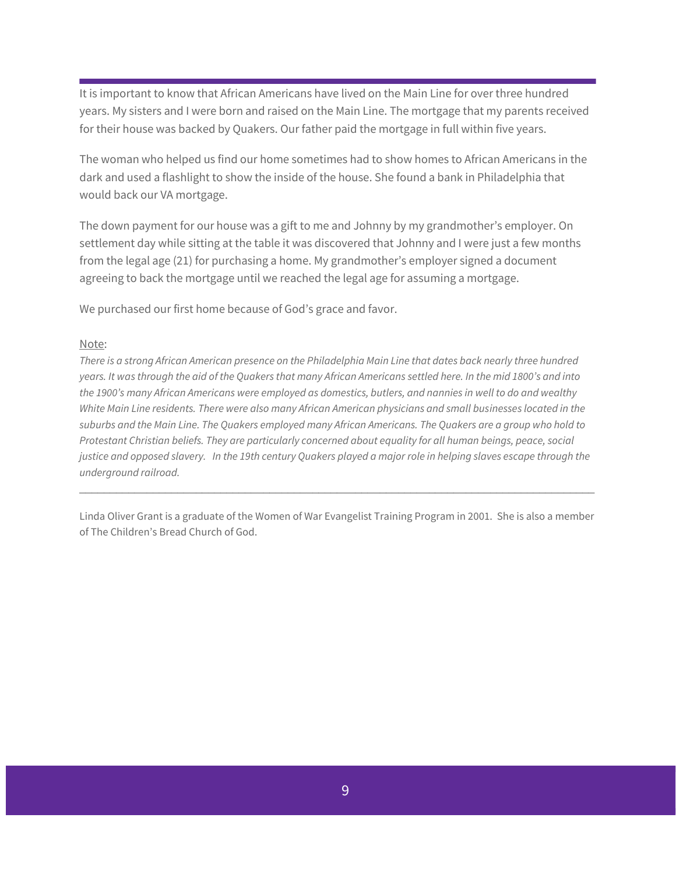It is important to know that African Americans have lived on the Main Line for over three hundred years. My sisters and I were born and raised on the Main Line. The mortgage that my parents received for their house was backed by Quakers. Our father paid the mortgage in full within five years.

The woman who helped us find our home sometimes had to show homes to African Americans in the dark and used a flashlight to show the inside of the house. She found a bank in Philadelphia that would back our VA mortgage.

The down payment for our house was a gift to me and Johnny by my grandmother's employer. On settlement day while sitting at the table it was discovered that Johnny and I were just a few months from the legal age (21) for purchasing a home. My grandmother's employer signed a document agreeing to back the mortgage until we reached the legal age for assuming a mortgage.

We purchased our first home because of God's grace and favor.

#### Note:

*There is a strong African American presence on the Philadelphia Main Line that dates back nearly three hundred years. It was through the aid of the Quakers that many African Americans settled here. In the mid 1800's and into the 1900's many African Americans were employed as domestics, butlers, and nannies in well to do and wealthy White Main Line residents. There were also many African American physicians and small businesses located in the suburbs and the Main Line. The Quakers employed many African Americans. The Quakers are a group who hold to Protestant Christian beliefs. They are particularly concerned about equality for all human beings, peace, social justice and opposed slavery. In the 19th century Quakers played a major role in helping slaves escape through the underground railroad.*

Linda Oliver Grant is a graduate of the Women of War Evangelist Training Program in 2001. She is also a member of The Children's Bread Church of God.

 $\Box$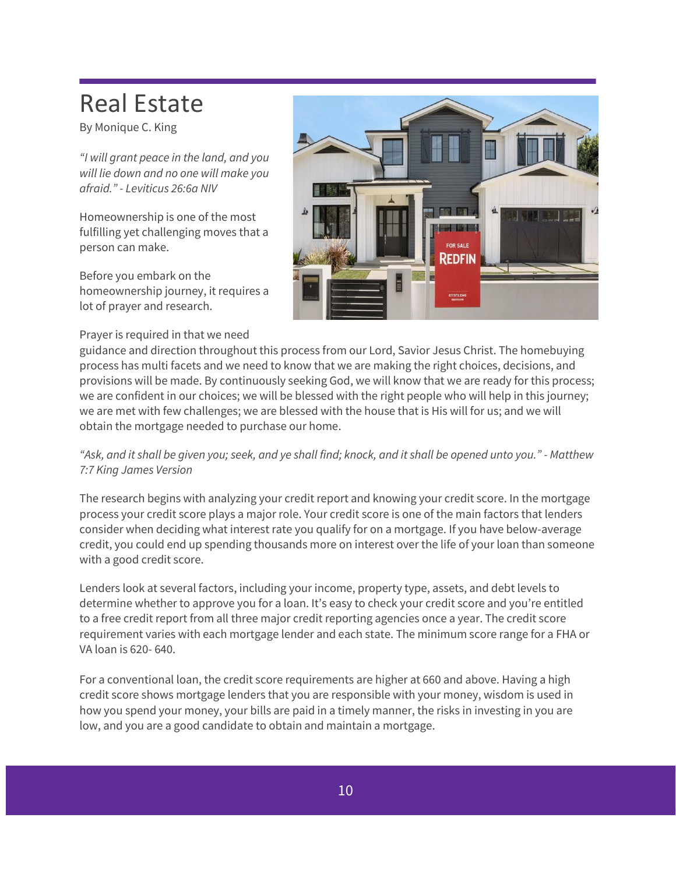## Real Estate

By Monique C. King

*"I will grant peace in the land, and you will lie down and no one will make you afraid." - Leviticus 26:6a NIV*

Homeownership is one of the most fulfilling yet challenging moves that a person can make.

Before you embark on the homeownership journey, it requires a lot of prayer and research.

#### Prayer is required in that we need



guidance and direction throughout this process from our Lord, Savior Jesus Christ. The homebuying process has multi facets and we need to know that we are making the right choices, decisions, and provisions will be made. By continuously seeking God, we will know that we are ready for this process; we are confident in our choices; we will be blessed with the right people who will help in this journey; we are met with few challenges; we are blessed with the house that is His will for us; and we will obtain the mortgage needed to purchase our home.

*"Ask, and it shall be given you; seek, and ye shall find; knock, and it shall be opened unto you." - Matthew 7:7 King James Version*

The research begins with analyzing your credit report and knowing your credit score. In the mortgage process your credit score plays a major role. Your credit score is one of the main factors that lenders consider when deciding what interest rate you qualify for on a mortgage. If you have below-average credit, you could end up spending thousands more on interest over the life of your loan than someone with a good credit score.

Lenders look at several factors, including your income, property type, assets, and debt levels to determine whether to approve you for a loan. It's easy to check your credit score and you're entitled to a free credit report from all three major credit reporting agencies once a year. The credit score requirement varies with each mortgage lender and each state. The minimum score range for a FHA or VA loan is 620- 640.

For a conventional loan, the credit score requirements are higher at 660 and above. Having a high credit score shows mortgage lenders that you are responsible with your money, wisdom is used in how you spend your money, your bills are paid in a timely manner, the risks in investing in you are low, and you are a good candidate to obtain and maintain a mortgage.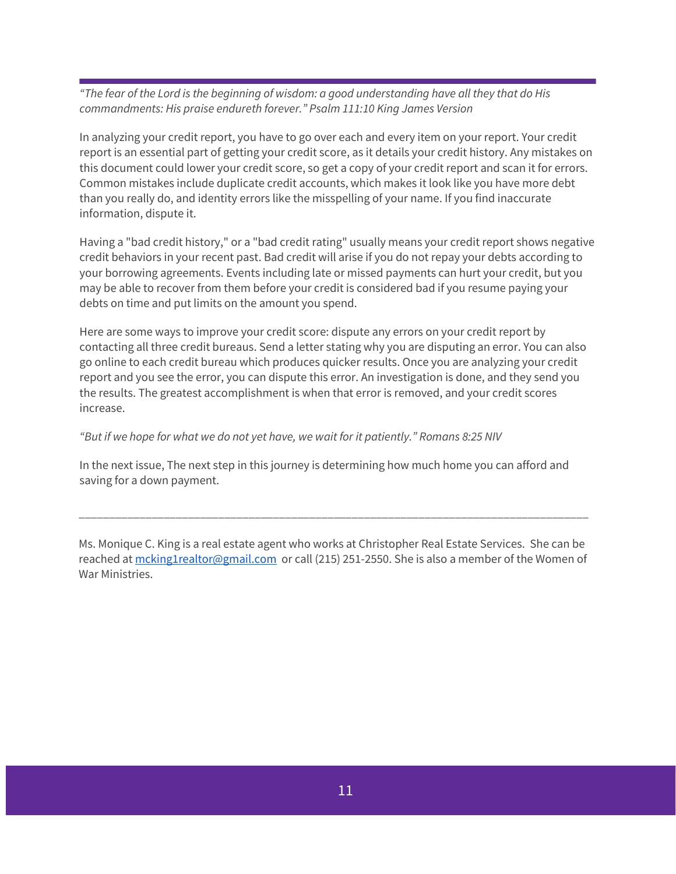*"The fear of the Lord is the beginning of wisdom: a good understanding have all they that do His commandments: His praise endureth forever." Psalm 111:10 King James Version*

In analyzing your credit report, you have to go over each and every item on your report. Your credit report is an essential part of getting your credit score, as it details your credit history. Any mistakes on this document could lower your credit score, so get a copy of your credit report and scan it for errors. Common mistakes include duplicate credit accounts, which makes it look like you have more debt than you really do, and identity errors like the misspelling of your name. If you find inaccurate information, dispute it.

Having a "bad credit history," or a "bad credit rating" usually means your credit report shows negative credit behaviors in your recent past. Bad credit will arise if you do not repay your debts according to your borrowing agreements. Events including late or missed payments can hurt your credit, but you may be able to recover from them before your credit is considered bad if you resume paying your debts on time and put limits on the amount you spend.

Here are some ways to improve your credit score: dispute any errors on your credit report by contacting all three credit bureaus. Send a letter stating why you are disputing an error. You can also go online to each credit bureau which produces quicker results. Once you are analyzing your credit report and you see the error, you can dispute this error. An investigation is done, and they send you the results. The greatest accomplishment is when that error is removed, and your credit scores increase.

*"But if we hope for what we do not yet have, we wait for it patiently." Romans 8:25 NIV*

In the next issue, The next step in this journey is determining how much home you can afford and saving for a down payment.

Ms. Monique C. King is a real estate agent who works at Christopher Real Estate Services. She can be reached a[t mcking1realtor@gmail.com](mailto:mcking1realtor@gmail.com) or call (215) 251-2550. She is also a member of the Women of War Ministries.

\_\_\_\_\_\_\_\_\_\_\_\_\_\_\_\_\_\_\_\_\_\_\_\_\_\_\_\_\_\_\_\_\_\_\_\_\_\_\_\_\_\_\_\_\_\_\_\_\_\_\_\_\_\_\_\_\_\_\_\_\_\_\_\_\_\_\_\_\_\_\_\_\_\_\_\_\_\_\_\_\_\_\_\_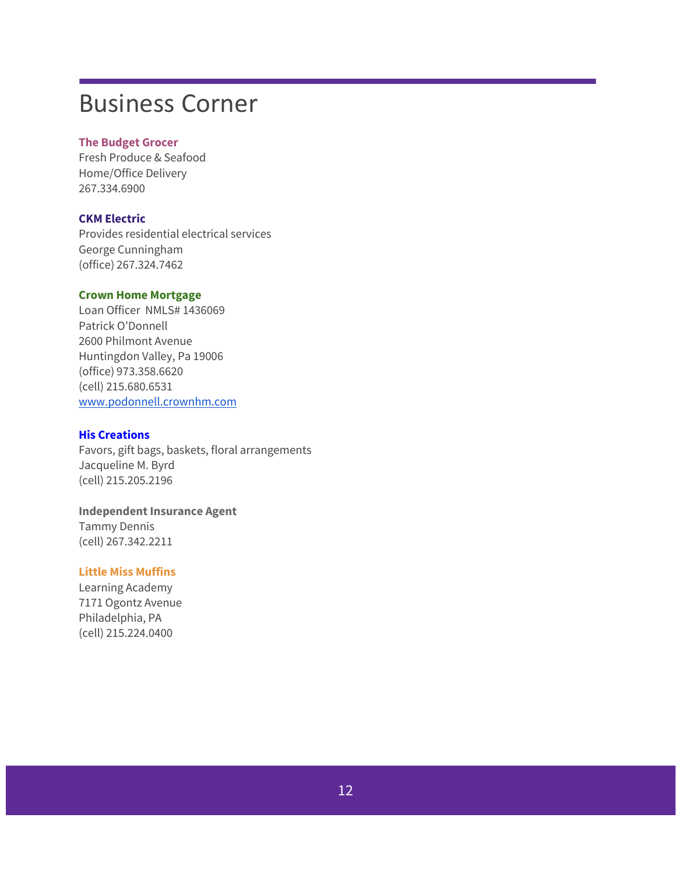### Business Corner

#### **The Budget Grocer**

Fresh Produce & Seafood Home/Office Delivery 267.334.6900

#### **CKM Electric**

Provides residential electrical services George Cunningham (office) 267.324.7462

#### **Crown Home Mortgage**

Loan Officer NMLS# 1436069 Patrick O'Donnell 2600 Philmont Avenue Huntingdon Valley, Pa 19006 (office) 973.358.6620 (cell) 215.680.6531 [www.podonnell.crownhm.com](http://www.podonnell.crownhm.com/)

#### **His Creations**

Favors, gift bags, baskets, floral arrangements Jacqueline M. Byrd (cell) 215.205.2196

### **Independent Insurance Agent**

Tammy Dennis (cell) 267.342.2211

#### **Little Miss Muffins**

Learning Academy 7171 Ogontz Avenue Philadelphia, PA (cell) 215.224.0400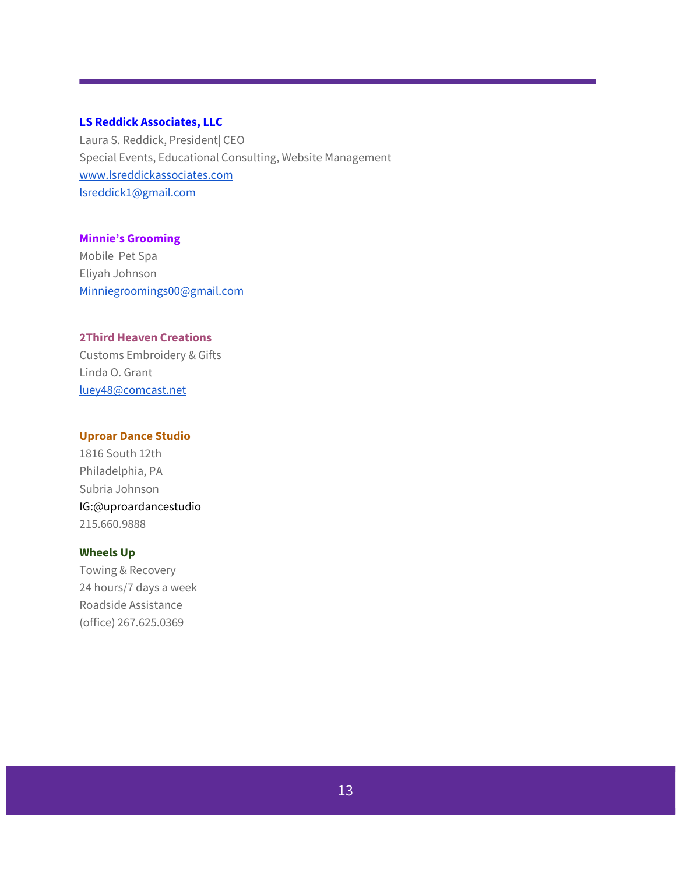#### **LS Reddick Associates, LLC**

Laura S. Reddick, President| CEO Special Events, Educational Consulting, Website Management [www.lsreddickassociates.com](http://www.lsreddickassociates.com/) [lsreddick1@gmail.com](mailto:lsreddick1@gmail.com)

#### **Minnie's Grooming**

Mobile Pet Spa Eliyah Johnson [Minniegroomings00@gmail.com](mailto:Minniegroomings00@gmail.com)

#### **2Third Heaven Creations**

Customs Embroidery & Gifts Linda O. Grant [luey48@comcast.net](mailto:luey48@comcast.net)

#### **Uproar Dance Studio**

1816 South 12th Philadelphia, PA Subria Johnson IG:@uproardancestudio 215.660.9888

#### **Wheels Up**

Towing & Recovery 24 hours/7 days a week Roadside Assistance (office) 267.625.0369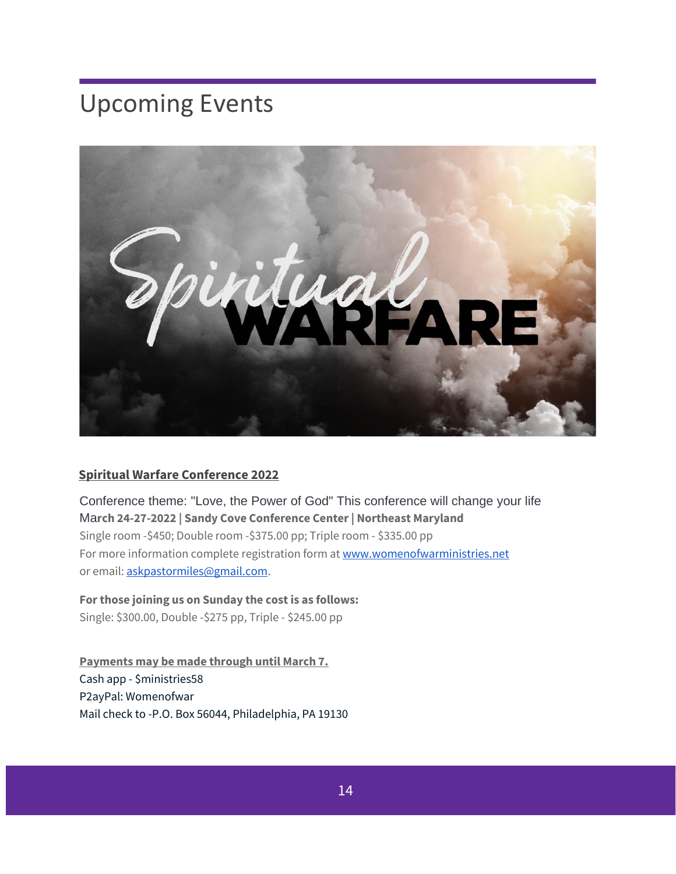## Upcoming Events



#### **Spiritual Warfare Conference 2022**

Conference theme: "Love, the Power of God" This conference will change your life Ma**rch 24-27-2022 | Sandy Cove Conference Center | Northeast Maryland** Single room -\$450; Double room -\$375.00 pp; Triple room - \$335.00 pp For more information complete registration form a[t www.womenofwarministries.net](http://www.womenofwarministries.net/) or email[: askpastormiles@gmail.com.](mailto:askpastormiles@gmail.com)

#### **For those joining us on Sunday the cost is as follows:**

Single: \$300.00, Double -\$275 pp, Triple - \$245.00 pp

**Payments may be made through until March 7.** Cash app - \$ministries58 P2ayPal: Womenofwar Mail check to -P.O. Box 56044, Philadelphia, PA 19130